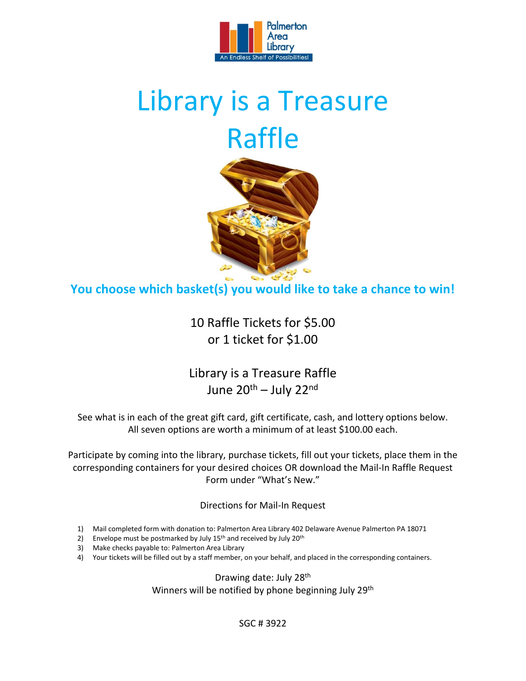

## Library is a Treasure Raffle



**You choose which basket(s) you would like to take a chance to win!**

10 Raffle Tickets for \$5.00 or 1 ticket for \$1.00

Library is a Treasure Raffle June 20<sup>th</sup> – July 22<sup>nd</sup>

See what is in each of the great gift card, gift certificate, cash, and lottery options below. All seven options are worth a minimum of at least \$100.00 each.

Participate by coming into the library, purchase tickets, fill out your tickets, place them in the corresponding containers for your desired choices OR download the Mail-In Raffle Request Form under "What's New."

Directions for Mail-In Request

- 1) Mail completed form with donation to: Palmerton Area Library 402 Delaware Avenue Palmerton PA 18071
- 2) Envelope must be postmarked by July  $15<sup>th</sup>$  and received by July  $20<sup>th</sup>$
- 3) Make checks payable to: Palmerton Area Library
- 4) Your tickets will be filled out by a staff member, on your behalf, and placed in the corresponding containers.

Drawing date: July 28<sup>th</sup> Winners will be notified by phone beginning July 29<sup>th</sup>

SGC # 3922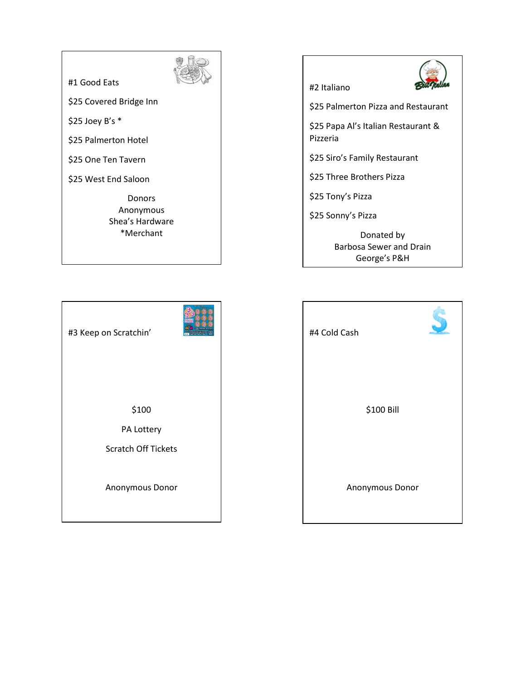#1 Good Eats



\$25 Covered Bridge Inn

\$25 Joey B's \*

\$25 Palmerton Hotel

\$25 One Ten Tavern

\$25 West End Saloon

Donors Anonymous Shea's Hardware \*Merchant



Barbosa Sewer and Drain George's P&H